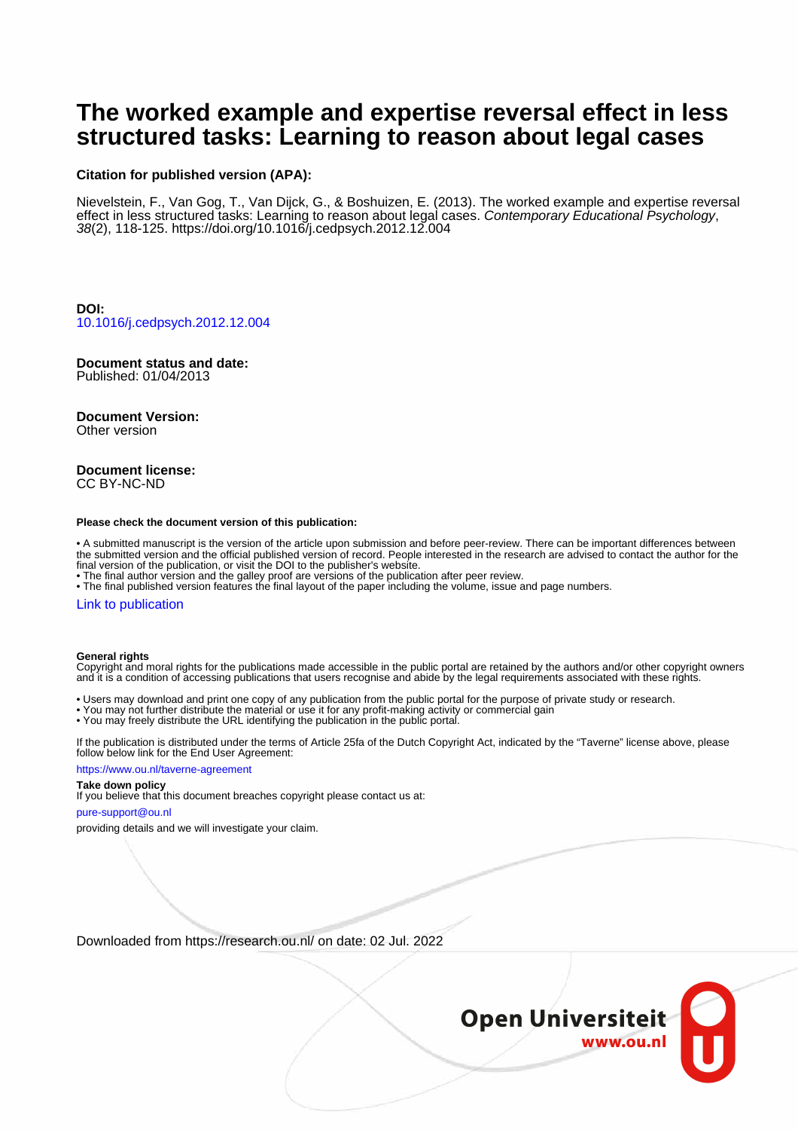# **The worked example and expertise reversal effect in less structured tasks: Learning to reason about legal cases**

## **Citation for published version (APA):**

Nievelstein, F., Van Gog, T., Van Dijck, G., & Boshuizen, E. (2013). The worked example and expertise reversal effect in less structured tasks: Learning to reason about legal cases. Contemporary Educational Psychology, 38(2), 118-125.<https://doi.org/10.1016/j.cedpsych.2012.12.004>

**DOI:** [10.1016/j.cedpsych.2012.12.004](https://doi.org/10.1016/j.cedpsych.2012.12.004)

#### **Document status and date:** Published: 01/04/2013

# **Document Version:**

Other version

## **Document license:** CC BY-NC-ND

#### **Please check the document version of this publication:**

• A submitted manuscript is the version of the article upon submission and before peer-review. There can be important differences between the submitted version and the official published version of record. People interested in the research are advised to contact the author for the final version of the publication, or visit the DOI to the publisher's website.

• The final author version and the galley proof are versions of the publication after peer review.

• The final published version features the final layout of the paper including the volume, issue and page numbers.

## [Link to publication](https://research.ou.nl/en/publications/c57574ce-05d7-4bd0-9499-771fdb64b9fa)

#### **General rights**

Copyright and moral rights for the publications made accessible in the public portal are retained by the authors and/or other copyright owners and it is a condition of accessing publications that users recognise and abide by the legal requirements associated with these rights.

- Users may download and print one copy of any publication from the public portal for the purpose of private study or research.
- You may not further distribute the material or use it for any profit-making activity or commercial gain
- You may freely distribute the URL identifying the publication in the public portal.

If the publication is distributed under the terms of Article 25fa of the Dutch Copyright Act, indicated by the "Taverne" license above, please follow below link for the End User Agreement:

#### https://www.ou.nl/taverne-agreement

## **Take down policy**

If you believe that this document breaches copyright please contact us at:

#### pure-support@ou.nl

providing details and we will investigate your claim.

Downloaded from https://research.ou.nl/ on date: 02 Jul. 2022